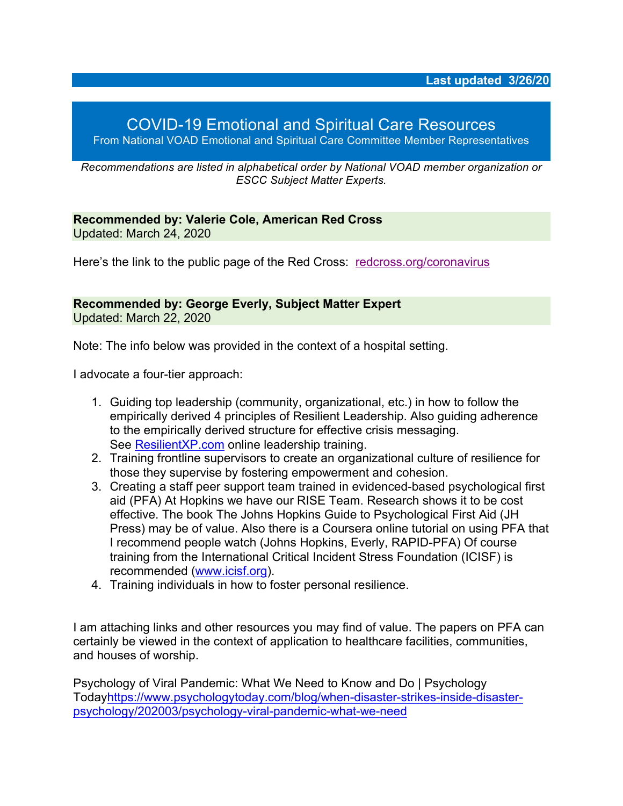## COVID-19 Emotional and Spiritual Care Resources From National VOAD Emotional and Spiritual Care Committee Member Representatives

*Recommendations are listed in alphabetical order by National VOAD member organization or ESCC Subject Matter Experts.*

**Recommended by: Valerie Cole, American Red Cross** Updated: March 24, 2020

Here's the link to the public page of the Red Cross: redcross.org/coronavirus

**Recommended by: George Everly, Subject Matter Expert** Updated: March 22, 2020

Note: The info below was provided in the context of a hospital setting.

I advocate a four-tier approach:

- 1. Guiding top leadership (community, organizational, etc.) in how to follow the empirically derived 4 principles of Resilient Leadership. Also guiding adherence to the empirically derived structure for effective crisis messaging. See ResilientXP.com online leadership training.
- 2. Training frontline supervisors to create an organizational culture of resilience for those they supervise by fostering empowerment and cohesion.
- 3. Creating a staff peer support team trained in evidenced-based psychological first aid (PFA) At Hopkins we have our RISE Team. Research shows it to be cost effective. The book The Johns Hopkins Guide to Psychological First Aid (JH Press) may be of value. Also there is a Coursera online tutorial on using PFA that I recommend people watch (Johns Hopkins, Everly, RAPID-PFA) Of course training from the International Critical Incident Stress Foundation (ICISF) is recommended (www.icisf.org).
- 4. Training individuals in how to foster personal resilience.

I am attaching links and other resources you may find of value. The papers on PFA can certainly be viewed in the context of application to healthcare facilities, communities, and houses of worship.

Psychology of Viral Pandemic: What We Need to Know and Do | Psychology Todayhttps://www.psychologytoday.com/blog/when-disaster-strikes-inside-disasterpsychology/202003/psychology-viral-pandemic-what-we-need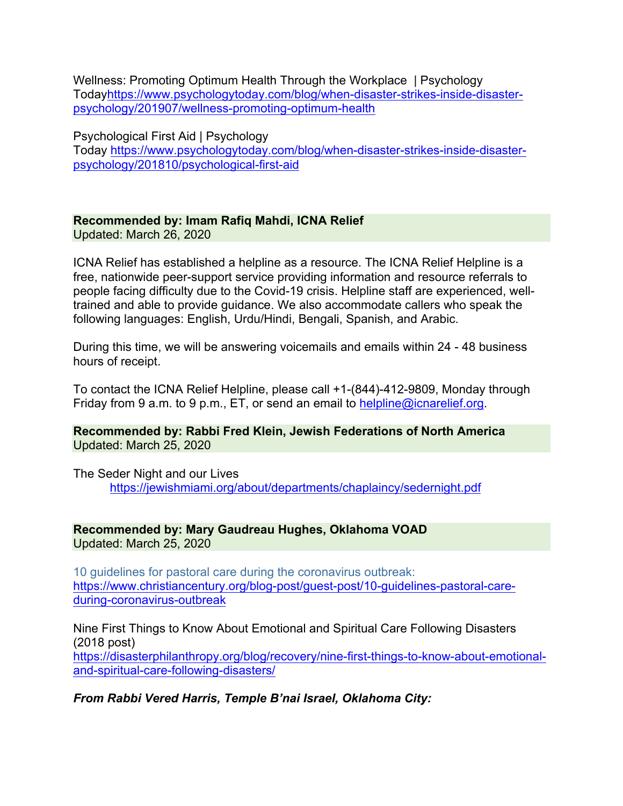Wellness: Promoting Optimum Health Through the Workplace | Psychology Todayhttps://www.psychologytoday.com/blog/when-disaster-strikes-inside-disasterpsychology/201907/wellness-promoting-optimum-health

Psychological First Aid | Psychology Today https://www.psychologytoday.com/blog/when-disaster-strikes-inside-disasterpsychology/201810/psychological-first-aid

# **Recommended by: Imam Rafiq Mahdi, ICNA Relief**

Updated: March 26, 2020

ICNA Relief has established a helpline as a resource. The ICNA Relief Helpline is a free, nationwide peer-support service providing information and resource referrals to people facing difficulty due to the Covid-19 crisis. Helpline staff are experienced, welltrained and able to provide guidance. We also accommodate callers who speak the following languages: English, Urdu/Hindi, Bengali, Spanish, and Arabic.

During this time, we will be answering voicemails and emails within 24 - 48 business hours of receipt.

To contact the ICNA Relief Helpline, please call +1-(844)-412-9809, Monday through Friday from 9 a.m. to 9 p.m., ET, or send an email to helpline@icnarelief.org.

**Recommended by: Rabbi Fred Klein, Jewish Federations of North America** Updated: March 25, 2020

The Seder Night and our Lives https://jewishmiami.org/about/departments/chaplaincy/sedernight.pdf

#### **Recommended by: Mary Gaudreau Hughes, Oklahoma VOAD** Updated: March 25, 2020

10 guidelines for pastoral care during the coronavirus outbreak: https://www.christiancentury.org/blog-post/guest-post/10-guidelines-pastoral-careduring-coronavirus-outbreak

Nine First Things to Know About Emotional and Spiritual Care Following Disasters (2018 post) https://disasterphilanthropy.org/blog/recovery/nine-first-things-to-know-about-emotionaland-spiritual-care-following-disasters/

*From Rabbi Vered Harris, Temple B'nai Israel, Oklahoma City:*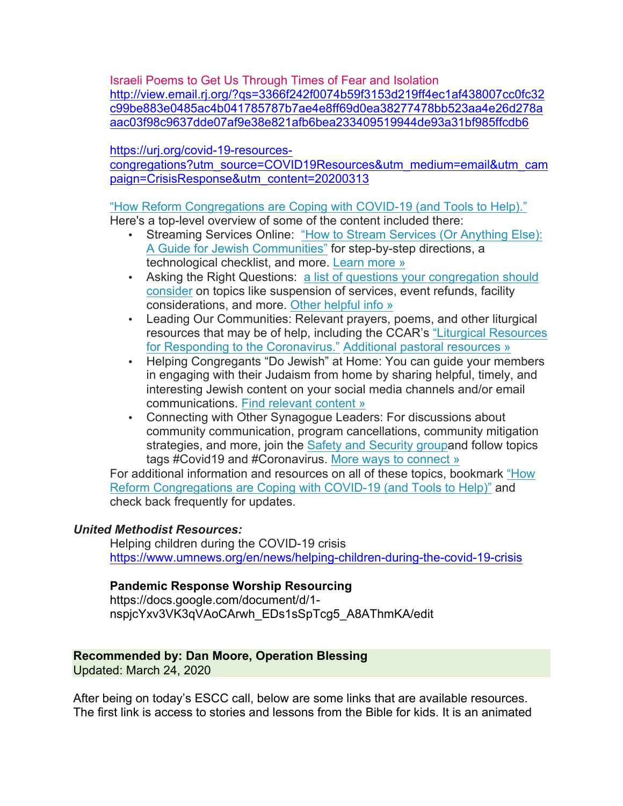Israeli Poems to Get Us Through Times of Fear and Isolation http://view.email.rj.org/?qs=3366f242f0074b59f3153d219ff4ec1af438007cc0fc32 c99be883e0485ac4b041785787b7ae4e8ff69d0ea38277478bb523aa4e26d278a aac03f98c9637dde07af9e38e821afb6bea233409519944de93a31bf985ffcdb6

https://urj.org/covid-19-resources-

congregations?utm\_source=COVID19Resources&utm\_medium=email&utm\_cam paign=CrisisResponse&utm\_content=20200313

# "How Reform Congregations are Coping with COVID-19 (and Tools to Help)."

Here's a top-level overview of some of the content included there:

- Streaming Services Online: "How to Stream Services (Or Anything Else): A Guide for Jewish Communities" for step-by-step directions, a technological checklist, and more. Learn more »
- Asking the Right Questions: a list of questions your congregation should consider on topics like suspension of services, event refunds, facility considerations, and more. Other helpful info »
- Leading Our Communities: Relevant prayers, poems, and other liturgical resources that may be of help, including the CCAR's "Liturgical Resources for Responding to the Coronavirus." Additional pastoral resources »
- Helping Congregants "Do Jewish" at Home: You can guide your members in engaging with their Judaism from home by sharing helpful, timely, and interesting Jewish content on your social media channels and/or email communications. Find relevant content »
- Connecting with Other Synagogue Leaders: For discussions about community communication, program cancellations, community mitigation strategies, and more, join the Safety and Security groupand follow topics tags #Covid19 and #Coronavirus. More ways to connect »

For additional information and resources on all of these topics, bookmark "How Reform Congregations are Coping with COVID-19 (and Tools to Help)" and check back frequently for updates.

### *United Methodist Resources:*

Helping children during the COVID-19 crisis https://www.umnews.org/en/news/helping-children-during-the-covid-19-crisis

### **Pandemic Response Worship Resourcing**

https://docs.google.com/document/d/1 nspjcYxv3VK3qVAoCArwh\_EDs1sSpTcg5\_A8AThmKA/edit

### **Recommended by: Dan Moore, Operation Blessing**

Updated: March 24, 2020

After being on today's ESCC call, below are some links that are available resources. The first link is access to stories and lessons from the Bible for kids. It is an animated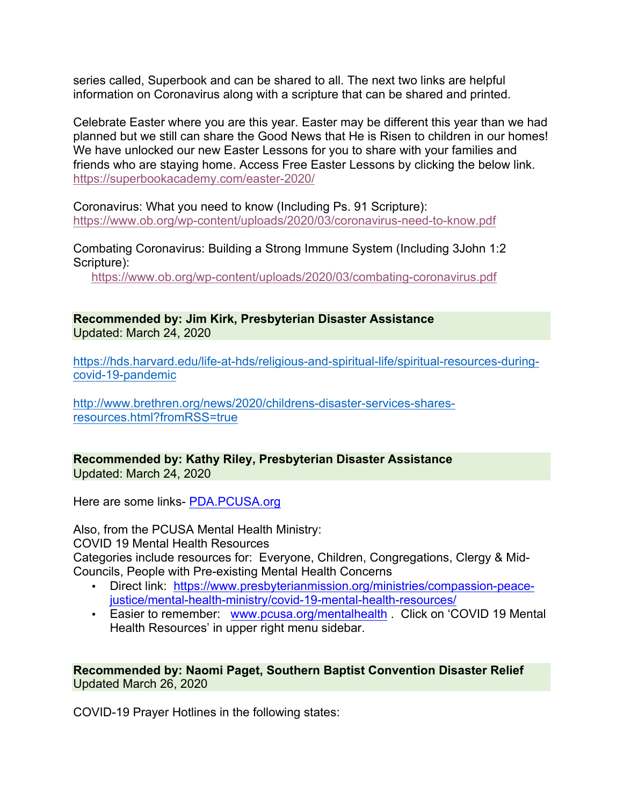series called, Superbook and can be shared to all. The next two links are helpful information on Coronavirus along with a scripture that can be shared and printed.

Celebrate Easter where you are this year. Easter may be different this year than we had planned but we still can share the Good News that He is Risen to children in our homes! We have unlocked our new Easter Lessons for you to share with your families and friends who are staying home. Access Free Easter Lessons by clicking the below link. https://superbookacademy.com/easter-2020/

Coronavirus: What you need to know (Including Ps. 91 Scripture): https://www.ob.org/wp-content/uploads/2020/03/coronavirus-need-to-know.pdf

Combating Coronavirus: Building a Strong Immune System (Including 3John 1:2 Scripture):

https://www.ob.org/wp-content/uploads/2020/03/combating-coronavirus.pdf

**Recommended by: Jim Kirk, Presbyterian Disaster Assistance** Updated: March 24, 2020

https://hds.harvard.edu/life-at-hds/religious-and-spiritual-life/spiritual-resources-duringcovid-19-pandemic

http://www.brethren.org/news/2020/childrens-disaster-services-sharesresources.html?fromRSS=true

**Recommended by: Kathy Riley, Presbyterian Disaster Assistance** Updated: March 24, 2020

Here are some links- PDA.PCUSA.org

Also, from the PCUSA Mental Health Ministry: COVID 19 Mental Health Resources Categories include resources for: Everyone, Children, Congregations, Clergy & Mid-Councils, People with Pre-existing Mental Health Concerns

- Direct link: https://www.presbyterianmission.org/ministries/compassion-peacejustice/mental-health-ministry/covid-19-mental-health-resources/
- Easier to remember: www.pcusa.org/mentalhealth . Click on 'COVID 19 Mental Health Resources' in upper right menu sidebar.

#### **Recommended by: Naomi Paget, Southern Baptist Convention Disaster Relief** Updated March 26, 2020

COVID-19 Prayer Hotlines in the following states: